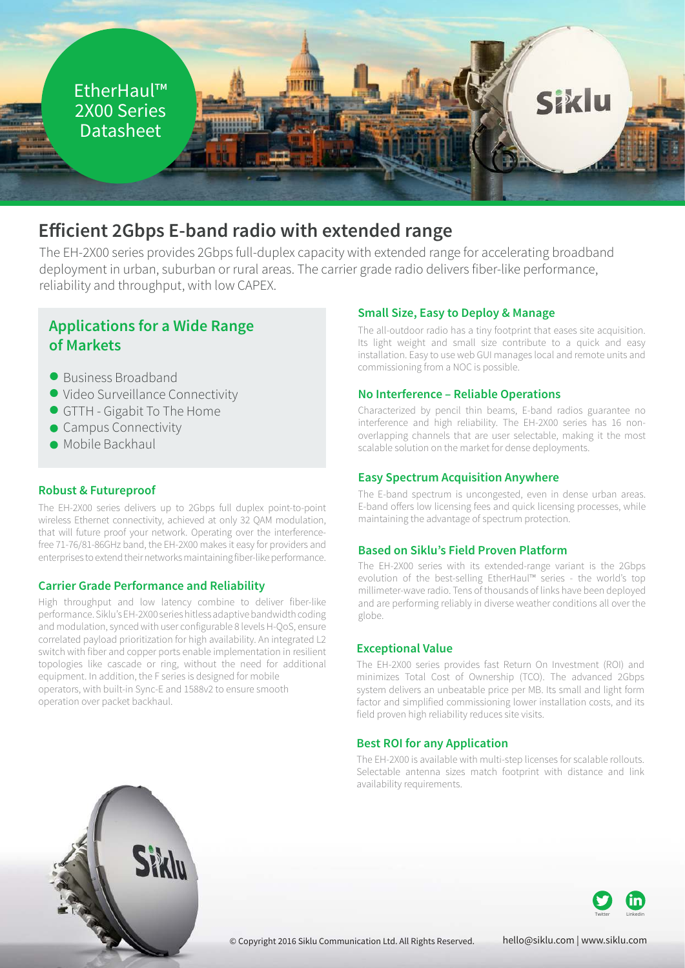

# **Efficient 2Gbps E-band radio with extended range**

The EH-2X00 series provides 2Gbps full-duplex capacity with extended range for accelerating broadband deployment in urban, suburban or rural areas. The carrier grade radio delivers fiber-like performance, reliability and throughput, with low CAPEX.

## **Applications for a Wide Range of Markets**

- Business Broadband
- Video Surveillance Connectivity
- GTTH Gigabit To The Home
- Campus Connectivity
- Mobile Backhaul

### **Robust & Futureproof**

The EH-2X00 series delivers up to 2Gbps full duplex point-to-point wireless Ethernet connectivity, achieved at only 32 QAM modulation, that will future proof your network. Operating over the interferencefree 71-76/81-86GHz band, the EH-2X00 makes it easy for providers and enterprises to extend their networks maintaining fiber-like performance.

### **Carrier Grade Performance and Reliability**

High throughput and low latency combine to deliver fiber-like performance. Siklu's EH-2X00 series hitless adaptive bandwidth coding and modulation, synced with user configurable 8 levels H-QoS, ensure correlated payload prioritization for high availability. An integrated L2 switch with fiber and copper ports enable implementation in resilient topologies like cascade or ring, without the need for additional equipment. In addition, the F series is designed for mobile operators, with built-in Sync-E and 1588v2 to ensure smooth operation over packet backhaul.

#### **Small Size, Easy to Deploy & Manage**

The all-outdoor radio has a tiny footprint that eases site acquisition. Its light weight and small size contribute to a quick and easy installation. Easy to use web GUI manages local and remote units and commissioning from a NOC is possible.

#### **No Interference – Reliable Operations**

Characterized by pencil thin beams, E-band radios guarantee no interference and high reliability. The EH-2X00 series has 16 nonoverlapping channels that are user selectable, making it the most scalable solution on the market for dense deployments.

#### **Easy Spectrum Acquisition Anywhere**

The E-band spectrum is uncongested, even in dense urban areas. E-band offers low licensing fees and quick licensing processes, while maintaining the advantage of spectrum protection.

#### **Based on Siklu's Field Proven Platform**

The EH-2X00 series with its extended-range variant is the 2Gbps evolution of the best-selling EtherHaul™ series - the world's top millimeter-wave radio. Tens of thousands of links have been deployed and are performing reliably in diverse weather conditions all over the globe.

#### **Exceptional Value**

The EH-2X00 series provides fast Return On Investment (ROI) and minimizes Total Cost of Ownership (TCO). The advanced 2Gbps system delivers an unbeatable price per MB. Its small and light form factor and simplified commissioning lower installation costs, and its field proven high reliability reduces site visits.

### **Best ROI for any Application**

The EH-2X00 is available with multi-step licenses for scalable rollouts. Selectable antenna sizes match footprint with distance and link availability requirements.